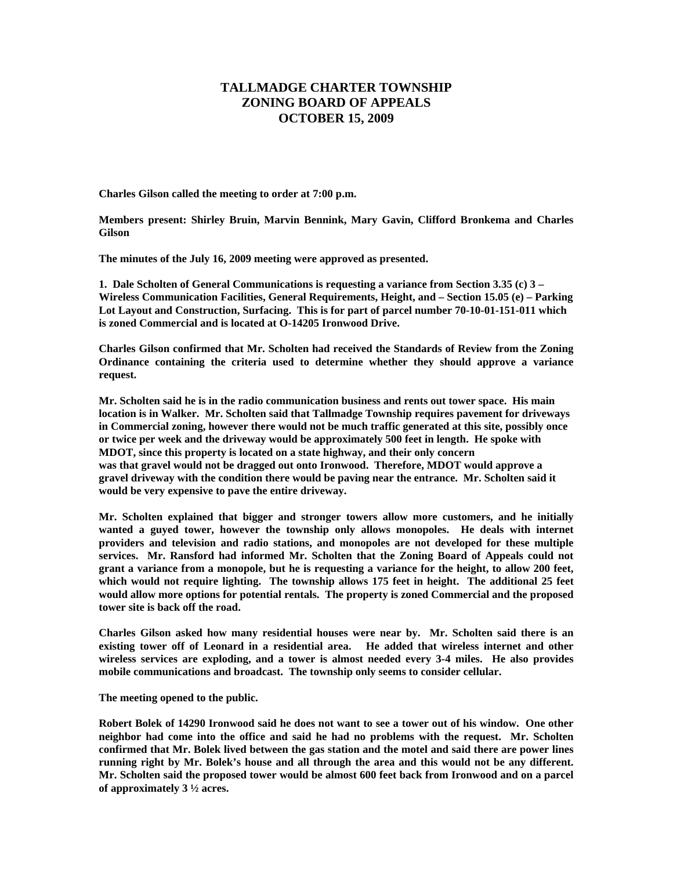## **TALLMADGE CHARTER TOWNSHIP ZONING BOARD OF APPEALS OCTOBER 15, 2009**

**Charles Gilson called the meeting to order at 7:00 p.m.** 

**Members present: Shirley Bruin, Marvin Bennink, Mary Gavin, Clifford Bronkema and Charles Gilson** 

**The minutes of the July 16, 2009 meeting were approved as presented.** 

**1. Dale Scholten of General Communications is requesting a variance from Section 3.35 (c) 3 – Wireless Communication Facilities, General Requirements, Height, and – Section 15.05 (e) – Parking Lot Layout and Construction, Surfacing. This is for part of parcel number 70-10-01-151-011 which is zoned Commercial and is located at O-14205 Ironwood Drive.** 

**Charles Gilson confirmed that Mr. Scholten had received the Standards of Review from the Zoning Ordinance containing the criteria used to determine whether they should approve a variance request.** 

**Mr. Scholten said he is in the radio communication business and rents out tower space. His main location is in Walker. Mr. Scholten said that Tallmadge Township requires pavement for driveways in Commercial zoning, however there would not be much traffic generated at this site, possibly once or twice per week and the driveway would be approximately 500 feet in length. He spoke with MDOT, since this property is located on a state highway, and their only concern was that gravel would not be dragged out onto Ironwood. Therefore, MDOT would approve a gravel driveway with the condition there would be paving near the entrance. Mr. Scholten said it would be very expensive to pave the entire driveway.** 

**Mr. Scholten explained that bigger and stronger towers allow more customers, and he initially wanted a guyed tower, however the township only allows monopoles. He deals with internet providers and television and radio stations, and monopoles are not developed for these multiple services. Mr. Ransford had informed Mr. Scholten that the Zoning Board of Appeals could not grant a variance from a monopole, but he is requesting a variance for the height, to allow 200 feet, which would not require lighting. The township allows 175 feet in height. The additional 25 feet would allow more options for potential rentals. The property is zoned Commercial and the proposed tower site is back off the road.** 

**Charles Gilson asked how many residential houses were near by. Mr. Scholten said there is an existing tower off of Leonard in a residential area. He added that wireless internet and other wireless services are exploding, and a tower is almost needed every 3-4 miles. He also provides mobile communications and broadcast. The township only seems to consider cellular.** 

**The meeting opened to the public.** 

**Robert Bolek of 14290 Ironwood said he does not want to see a tower out of his window. One other neighbor had come into the office and said he had no problems with the request. Mr. Scholten confirmed that Mr. Bolek lived between the gas station and the motel and said there are power lines running right by Mr. Bolek's house and all through the area and this would not be any different. Mr. Scholten said the proposed tower would be almost 600 feet back from Ironwood and on a parcel of approximately 3 ½ acres.**